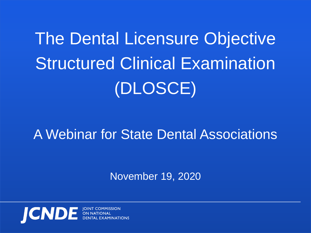# The Dental Licensure Objective Structured Clinical Examination (DLOSCE)

### A Webinar for State Dental Associations

November 19, 2020

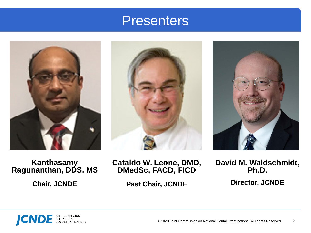#### **Presenters**







**Kanthasamy Ragunanthan, DDS, MS**

**Chair, JCNDE**

**Cataldo W. Leone, DMD, DMedSc, FACD, FICD**

**Past Chair, JCNDE**

**David M. Waldschmidt, Ph.D.**

**Director, JCNDE**

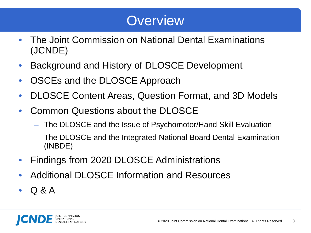### **Overview**

- The Joint Commission on National Dental Examinations (JCNDE)
- Background and History of DLOSCE Development
- OSCEs and the DLOSCE Approach
- DLOSCE Content Areas, Question Format, and 3D Models
- Common Questions about the DLOSCE
	- The DLOSCE and the Issue of Psychomotor/Hand Skill Evaluation
	- The DLOSCE and the Integrated National Board Dental Examination (INBDE)
- Findings from 2020 DLOSCE Administrations
- Additional DLOSCE Information and Resources
- Q & A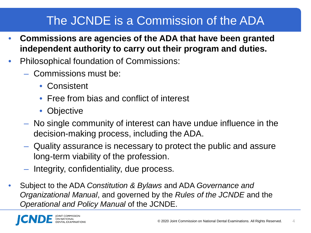#### The JCNDE is a Commission of the ADA

- **Commissions are agencies of the ADA that have been granted independent authority to carry out their program and duties.**
- Philosophical foundation of Commissions:
	- Commissions must be:
		- Consistent
		- Free from bias and conflict of interest
		- Objective
	- No single community of interest can have undue influence in the decision-making process, including the ADA.
	- Quality assurance is necessary to protect the public and assure long-term viability of the profession.
	- Integrity, confidentiality, due process.
- Subject to the ADA *Constitution & Bylaws* and ADA *Governance and Organizational Manual*, and governed by the *Rules of the JCNDE* and the *Operational and Policy Manual* of the JCNDE.

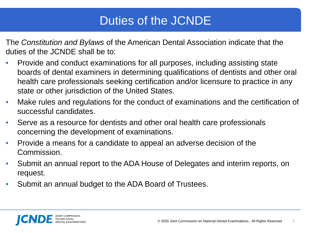#### Duties of the JCNDE

The *Constitution and Bylaws* of the American Dental Association indicate that the duties of the JCNDE shall be to:

- Provide and conduct examinations for all purposes, including assisting state boards of dental examiners in determining qualifications of dentists and other oral health care professionals seeking certification and/or licensure to practice in any state or other jurisdiction of the United States.
- Make rules and regulations for the conduct of examinations and the certification of successful candidates.
- Serve as a resource for dentists and other oral health care professionals concerning the development of examinations.
- Provide a means for a candidate to appeal an adverse decision of the Commission.
- Submit an annual report to the ADA House of Delegates and interim reports, on request.
- Submit an annual budget to the ADA Board of Trustees.

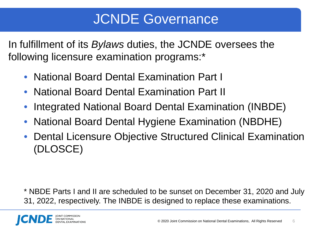### JCNDE Governance

In fulfillment of its *Bylaws* duties, the JCNDE oversees the following licensure examination programs:\*

- National Board Dental Examination Part I
- National Board Dental Examination Part II
- Integrated National Board Dental Examination (INBDE)
- National Board Dental Hygiene Examination (NBDHE)
- Dental Licensure Objective Structured Clinical Examination (DLOSCE)

\* NBDE Parts I and II are scheduled to be sunset on December 31, 2020 and July 31, 2022, respectively. The INBDE is designed to replace these examinations.

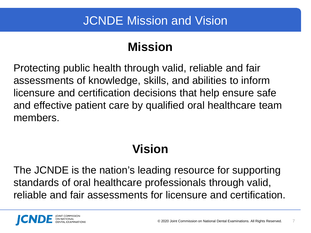#### **Mission**

Protecting public health through valid, reliable and fair assessments of knowledge, skills, and abilities to inform licensure and certification decisions that help ensure safe and effective patient care by qualified oral healthcare team members.

#### **Vision**

The JCNDE is the nation's leading resource for supporting standards of oral healthcare professionals through valid, reliable and fair assessments for licensure and certification.

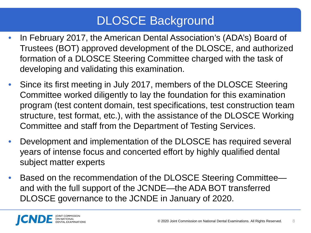#### DLOSCE Background

- In February 2017, the American Dental Association's (ADA's) Board of Trustees (BOT) approved development of the DLOSCE, and authorized formation of a DLOSCE Steering Committee charged with the task of developing and validating this examination.
- Since its first meeting in July 2017, members of the DLOSCE Steering Committee worked diligently to lay the foundation for this examination program (test content domain, test specifications, test construction team structure, test format, etc.), with the assistance of the DLOSCE Working Committee and staff from the Department of Testing Services.
- Development and implementation of the DLOSCE has required several years of intense focus and concerted effort by highly qualified dental subject matter experts
- Based on the recommendation of the DLOSCE Steering Committee and with the full support of the JCNDE—the ADA BOT transferred DLOSCE governance to the JCNDE in January of 2020.

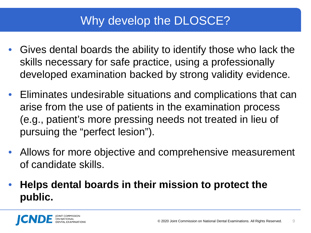#### Why develop the DLOSCE?

- Gives dental boards the ability to identify those who lack the skills necessary for safe practice, using a professionally developed examination backed by strong validity evidence.
- Eliminates undesirable situations and complications that can arise from the use of patients in the examination process (e.g., patient's more pressing needs not treated in lieu of pursuing the "perfect lesion").
- Allows for more objective and comprehensive measurement of candidate skills.
- **Helps dental boards in their mission to protect the public.**

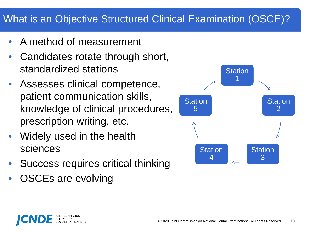#### What is an Objective Structured Clinical Examination (OSCE)?

- A method of measurement
- Candidates rotate through short, standardized stations
- Assesses clinical competence, patient communication skills, knowledge of clinical procedures, prescription writing, etc.
- Widely used in the health sciences
- Success requires critical thinking
- OSCEs are evolving

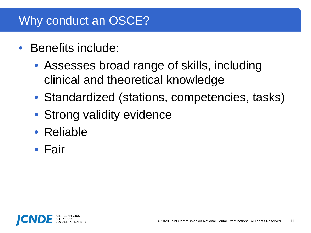#### Why conduct an OSCE?

- Benefits include:
	- Assesses broad range of skills, including clinical and theoretical knowledge
	- Standardized (stations, competencies, tasks)
	- Strong validity evidence
	- Reliable
	- Fair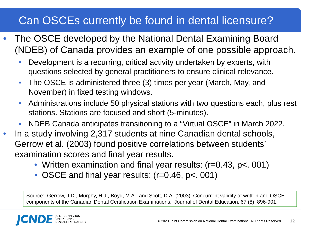#### Can OSCEs currently be found in dental licensure?

- The OSCE developed by the National Dental Examining Board (NDEB) of Canada provides an example of one possible approach.
	- Development is a recurring, critical activity undertaken by experts, with questions selected by general practitioners to ensure clinical relevance.
	- The OSCE is administered three (3) times per year (March, May, and November) in fixed testing windows.
	- Administrations include 50 physical stations with two questions each, plus rest stations. Stations are focused and short (5-minutes).
	- NDEB Canada anticipates transitioning to a "Virtual OSCE" in March 2022.
- In a study involving 2,317 students at nine Canadian dental schools, Gerrow et al. (2003) found positive correlations between students' examination scores and final year results.
	- Written examination and final year results: (r=0.43, p<. 001)
	- OSCE and final year results: (r=0.46, p<. 001)

Source: Gerrow, J.D., Murphy, H.J., Boyd, M.A., and Scott, D.A. (2003). Concurrent validity of written and OSCE components of the Canadian Dental Certification Examinations. Journal of Dental Education, 67 (8), 896-901.

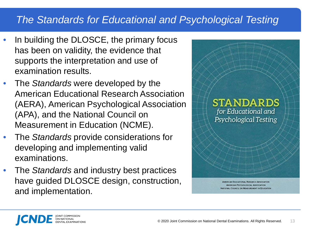#### *The Standards for Educational and Psychological Testing*

- In building the DLOSCE, the primary focus has been on validity, the evidence that supports the interpretation and use of examination results.
- The *Standards* were developed by the American Educational Research Association (AERA), American Psychological Association (APA), and the National Council on Measurement in Education (NCME).
- The *Standards* provide considerations for developing and implementing valid examinations.
- The *Standards* and industry best practices have guided DLOSCE design, construction, and implementation.



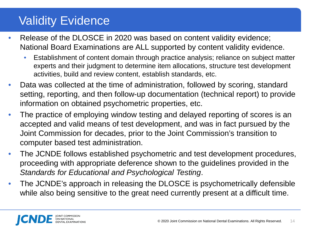#### Validity Evidence

- Release of the DLOSCE in 2020 was based on content validity evidence; National Board Examinations are ALL supported by content validity evidence.
	- Establishment of content domain through practice analysis; reliance on subject matter experts and their judgment to determine item allocations, structure test development activities, build and review content, establish standards, etc.
- Data was collected at the time of administration, followed by scoring, standard setting, reporting, and then follow-up documentation (technical report) to provide information on obtained psychometric properties, etc.
- The practice of employing window testing and delayed reporting of scores is an accepted and valid means of test development, and was in fact pursued by the Joint Commission for decades, prior to the Joint Commission's transition to computer based test administration.
- The JCNDE follows established psychometric and test development procedures, proceeding with appropriate deference shown to the guidelines provided in the *Standards for Educational and Psychological Testing*.
- The JCNDE's approach in releasing the DLOSCE is psychometrically defensible while also being sensitive to the great need currently present at a difficult time.

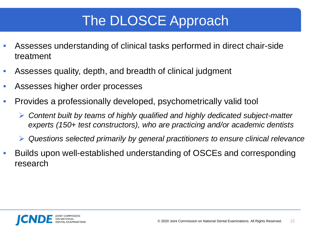## The DLOSCE Approach

- Assesses understanding of clinical tasks performed in direct chair-side treatment
- Assesses quality, depth, and breadth of clinical judgment
- Assesses higher order processes
- Provides a professionally developed, psychometrically valid tool
	- *Content built by teams of highly qualified and highly dedicated subject-matter experts (150+ test constructors), who are practicing and/or academic dentists*
	- *Questions selected primarily by general practitioners to ensure clinical relevance*
- Builds upon well-established understanding of OSCEs and corresponding research

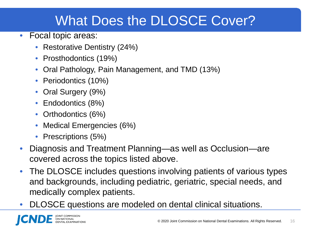## What Does the DLOSCE Cover?

- Focal topic areas:
	- Restorative Dentistry (24%)
	- Prosthodontics (19%)
	- Oral Pathology, Pain Management, and TMD (13%)
	- Periodontics (10%)
	- Oral Surgery (9%)
	- Endodontics (8%)
	- Orthodontics (6%)
	- Medical Emergencies (6%)
	- Prescriptions (5%)
- Diagnosis and Treatment Planning—as well as Occlusion—are covered across the topics listed above.
- The DLOSCE includes questions involving patients of various types and backgrounds, including pediatric, geriatric, special needs, and medically complex patients.
- DLOSCE questions are modeled on dental clinical situations.

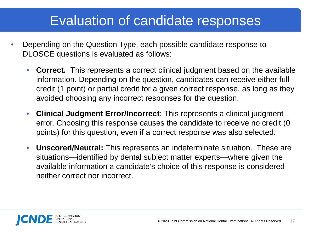### Evaluation of candidate responses

- Depending on the Question Type, each possible candidate response to DLOSCE questions is evaluated as follows:
	- **Correct.** This represents a correct clinical judgment based on the available information. Depending on the question, candidates can receive either full credit (1 point) or partial credit for a given correct response, as long as they avoided choosing any incorrect responses for the question.
	- **Clinical Judgment Error/Incorrect**: This represents a clinical judgment error. Choosing this response causes the candidate to receive no credit (0 points) for this question, even if a correct response was also selected.
	- **Unscored/Neutral:** This represents an indeterminate situation. These are situations—identified by dental subject matter experts—where given the available information a candidate's choice of this response is considered neither correct nor incorrect.

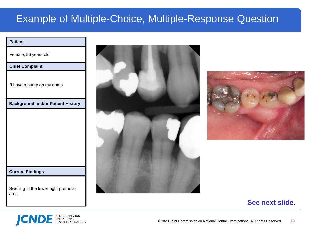#### Example of Multiple-Choice, Multiple-Response Question

#### **Patient**

Female, 56 years old

#### **Chief Complaint**

"I have a bump on my gums"

**Background and/or Patient History**

#### **Current Findings**

Swelling in the lower right premolar area





#### **See next slide**.

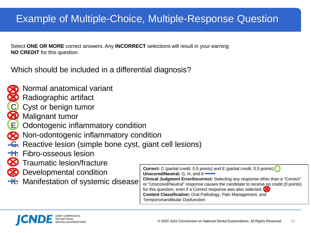#### Example of Multiple-Choice, Multiple-Response Question

Select **ONE OR MORE** correct answers. Any **INCORRECT** selections will result in your earning **NO CREDIT** for this question.

Which should be included in a differential diagnosis?



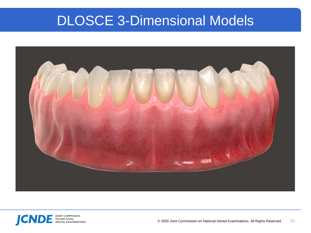#### DLOSCE 3-Dimensional Models



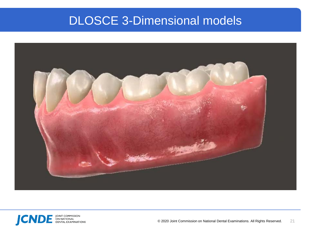#### DLOSCE 3-Dimensional models



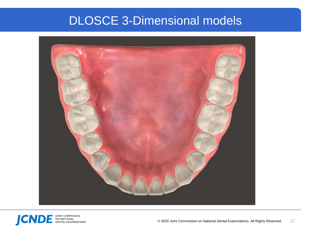#### DLOSCE 3-Dimensional models



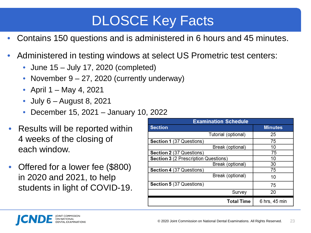## DLOSCE Key Facts

- Contains 150 questions and is administered in 6 hours and 45 minutes.
- Administered in testing windows at select US Prometric test centers:
	- June 15 July 17, 2020 (completed)
	- November 9 27, 2020 (currently underway)
	- April 1 May 4, 2021
	- July 6 August 8, 2021
	- December 15, 2021 January 10, 2022
- Results will be reported within 4 weeks of the closing of each window.
- Offered for a lower fee (\$800) in 2020 and 2021, to help students in light of COVID-19.

| <b>Examination Schedule</b>          |                |  |  |  |  |
|--------------------------------------|----------------|--|--|--|--|
| <b>Section</b>                       | <b>Minutes</b> |  |  |  |  |
| Tutorial (optional)                  | 25             |  |  |  |  |
| Section 1 (37 Questions)             | 75             |  |  |  |  |
| Break (optional)                     | 10             |  |  |  |  |
| Section 2 (37 Questions)             | 75             |  |  |  |  |
| Section 3 (2 Prescription Questions) | 10             |  |  |  |  |
| Break (optional)                     | 30             |  |  |  |  |
| Section 4 (37 Questions)             | 75             |  |  |  |  |
| Break (optional)                     | 10             |  |  |  |  |
| Section 5 (37 Questions)             | 75             |  |  |  |  |
| Survey                               | 20             |  |  |  |  |
| <b>Total Time</b>                    | 6 hrs, 45 min  |  |  |  |  |

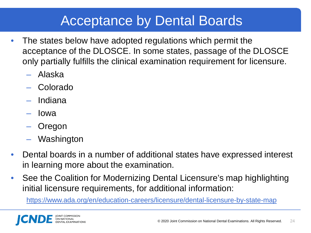### Acceptance by Dental Boards

- The states below have adopted regulations which permit the acceptance of the DLOSCE. In some states, passage of the DLOSCE only partially fulfills the clinical examination requirement for licensure.
	- Alaska
	- Colorado
	- Indiana
	- Iowa
	- Oregon
	- Washington
- Dental boards in a number of additional states have expressed interest in learning more about the examination.
- See the Coalition for Modernizing Dental Licensure's map highlighting initial licensure requirements, for additional information:

<https://www.ada.org/en/education-careers/licensure/dental-licensure-by-state-map>

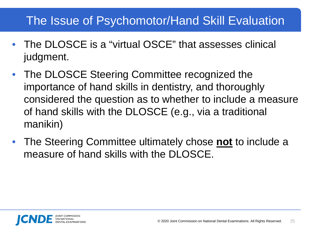#### The Issue of Psychomotor/Hand Skill Evaluation

- The DLOSCE is a "virtual OSCE" that assesses clinical judgment.
- The DLOSCE Steering Committee recognized the importance of hand skills in dentistry, and thoroughly considered the question as to whether to include a measure of hand skills with the DLOSCE (e.g., via a traditional manikin)
- The Steering Committee ultimately chose **not** to include a measure of hand skills with the DLOSCE.

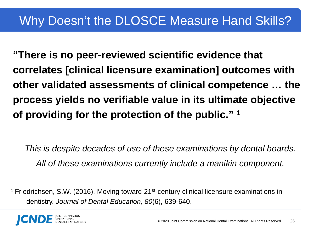**"There is no peer-reviewed scientific evidence that correlates [clinical licensure examination] outcomes with other validated assessments of clinical competence … the process yields no verifiable value in its ultimate objective of providing for the protection of the public." 1**

*This is despite decades of use of these examinations by dental boards. All of these examinations currently include a manikin component.*

<sup>1</sup> Friedrichsen, S.W. (2016). Moving toward 21<sup>st</sup>-century clinical licensure examinations in dentistry. *Journal of Dental Education, 80*(6), 639-640.

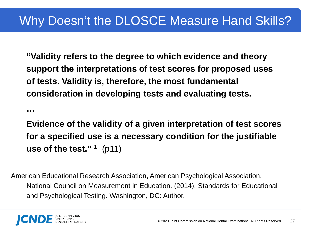**"Validity refers to the degree to which evidence and theory support the interpretations of test scores for proposed uses of tests. Validity is, therefore, the most fundamental consideration in developing tests and evaluating tests.** 

**Evidence of the validity of a given interpretation of test scores for a specified use is a necessary condition for the justifiable use of the test." 1** (p11)

American Educational Research Association, American Psychological Association, National Council on Measurement in Education. (2014). Standards for Educational and Psychological Testing. Washington, DC: Author.



**…**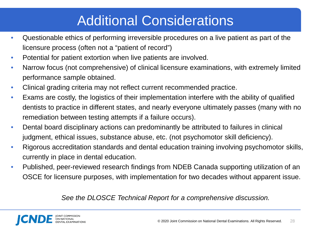## Additional Considerations

- Questionable ethics of performing irreversible procedures on a live patient as part of the licensure process (often not a "patient of record")
- Potential for patient extortion when live patients are involved.
- Narrow focus (not comprehensive) of clinical licensure examinations, with extremely limited performance sample obtained.
- Clinical grading criteria may not reflect current recommended practice.
- Exams are costly, the logistics of their implementation interfere with the ability of qualified dentists to practice in different states, and nearly everyone ultimately passes (many with no remediation between testing attempts if a failure occurs).
- Dental board disciplinary actions can predominantly be attributed to failures in clinical judgment, ethical issues, substance abuse, etc. (not psychomotor skill deficiency).
- Rigorous accreditation standards and dental education training involving psychomotor skills, currently in place in dental education.
- Published, peer-reviewed research findings from NDEB Canada supporting utilization of an OSCE for licensure purposes, with implementation for two decades without apparent issue.

#### *See the DLOSCE Technical Report for a comprehensive discussion.*

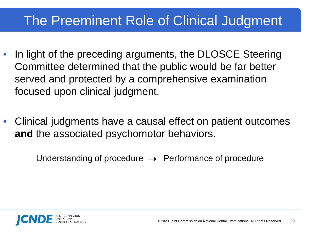### The Preeminent Role of Clinical Judgment

- In light of the preceding arguments, the DLOSCE Steering Committee determined that the public would be far better served and protected by a comprehensive examination focused upon clinical judgment.
- Clinical judgments have a causal effect on patient outcomes **and** the associated psychomotor behaviors.

Understanding of procedure  $\rightarrow$  Performance of procedure

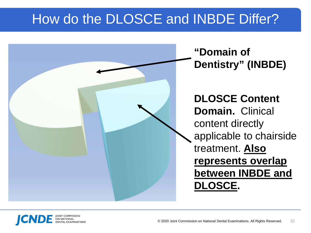## How do the DLOSCE and INBDE Differ?



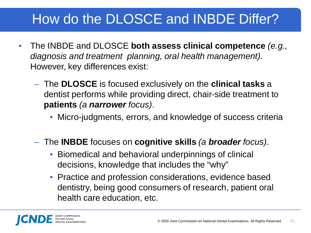## How do the DLOSCE and INBDE Differ?

- The INBDE and DLOSCE **both assess clinical competence** *(e.g., diagnosis and treatment planning, oral health management)*. However, key differences exist:
	- The **DLOSCE** is focused exclusively on the **clinical tasks** a dentist performs while providing direct, chair-side treatment to **patients** *(a narrower focus)*.
		- Micro-judgments, errors, and knowledge of success criteria
	- The **INBDE** focuses on **cognitive skills** *(a broader focus)*.
		- Biomedical and behavioral underpinnings of clinical decisions, knowledge that includes the "why"
		- Practice and profession considerations, evidence based dentistry, being good consumers of research, patient oral health care education, etc.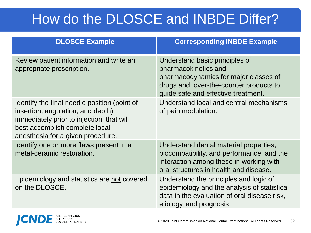## How do the DLOSCE and INBDE Differ?

| <b>DLOSCE Example</b>                                                                                                                                                                                | <b>Corresponding INBDE Example</b>                                                                                                                                               |
|------------------------------------------------------------------------------------------------------------------------------------------------------------------------------------------------------|----------------------------------------------------------------------------------------------------------------------------------------------------------------------------------|
| Review patient information and write an<br>appropriate prescription.                                                                                                                                 | Understand basic principles of<br>pharmacokinetics and<br>pharmacodynamics for major classes of<br>drugs and over-the-counter products to<br>guide safe and effective treatment. |
| Identify the final needle position (point of<br>insertion, angulation, and depth)<br>immediately prior to injection that will<br>best accomplish complete local<br>anesthesia for a given procedure. | Understand local and central mechanisms<br>of pain modulation.                                                                                                                   |
| Identify one or more flaws present in a<br>metal-ceramic restoration.                                                                                                                                | Understand dental material properties,<br>biocompatibility, and performance, and the<br>interaction among these in working with<br>oral structures in health and disease.        |
| Epidemiology and statistics are not covered<br>on the DLOSCE.                                                                                                                                        | Understand the principles and logic of<br>epidemiology and the analysis of statistical<br>data in the evaluation of oral disease risk,<br>etiology, and prognosis.               |

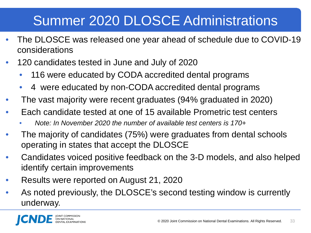## Summer 2020 DLOSCE Administrations

- The DLOSCE was released one year ahead of schedule due to COVID-19 considerations
- 120 candidates tested in June and July of 2020
	- 116 were educated by CODA accredited dental programs
	- 4 were educated by non-CODA accredited dental programs
- The vast majority were recent graduates (94% graduated in 2020)
- Each candidate tested at one of 15 available Prometric test centers
	- *Note: In November 2020 the number of available test centers is 170+*
- The majority of candidates (75%) were graduates from dental schools operating in states that accept the DLOSCE
- Candidates voiced positive feedback on the 3-D models, and also helped identify certain improvements
- Results were reported on August 21, 2020
- As noted previously, the DLOSCE's second testing window is currently underway.

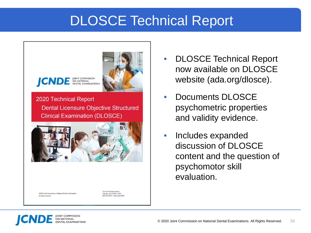### DLOSCE Technical Report



92020 Joint Commission on National Dental Examinations All rights reserved

211 East Chicago Avenue Chicago, Illinois 60611-2637 00.232.1694 | ADA.org/JCNDE

- DLOSCE Technical Report now available on DLOSCE website (ada.org/dlosce).
- Documents DLOSCE psychometric properties and validity evidence.
- Includes expanded discussion of DLOSCE content and the question of psychomotor skill evaluation.

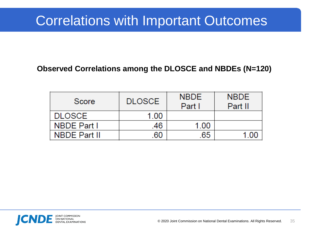### Correlations with Important Outcomes

#### **Observed Correlations among the DLOSCE and NBDEs (N=120)**

| Score               | <b>DLOSCE</b> | <b>NBDE</b><br>Part I | <b>NBDE</b><br>Part II |
|---------------------|---------------|-----------------------|------------------------|
| <b>DLOSCE</b>       | 1.00          |                       |                        |
| <b>NBDE Part I</b>  | .46           | 1.00                  |                        |
| <b>NBDE Part II</b> | 60            | 65                    |                        |

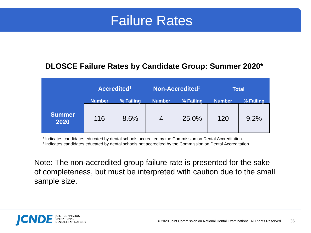#### Failure Rates

#### **DLOSCE Failure Rates by Candidate Group: Summer 2020\***

|                       | Accredited <sup>t</sup> |           | Non-Accredited <sup>#</sup> |           | <b>Total</b>  |           |
|-----------------------|-------------------------|-----------|-----------------------------|-----------|---------------|-----------|
|                       | <b>Number</b>           | % Failing | <b>Number</b>               | % Failing | <b>Number</b> | % Failing |
| <b>Summer</b><br>2020 | 116                     | 8.6%      | $\overline{4}$              | 25.0%     | 120           | 9.2%      |

† Indicates candidates educated by dental schools accredited by the Commission on Dental Accreditation. ‡ Indicates candidates educated by dental schools not accredited by the Commission on Dental Accreditation.

Note: The non-accredited group failure rate is presented for the sake of completeness, but must be interpreted with caution due to the small sample size.

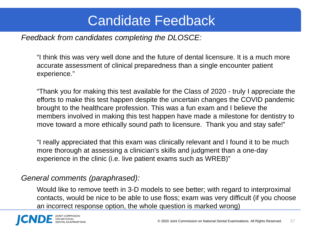### Candidate Feedback

*Feedback from candidates completing the DLOSCE:*

"I think this was very well done and the future of dental licensure. It is a much more accurate assessment of clinical preparedness than a single encounter patient experience."

"Thank you for making this test available for the Class of 2020 - truly I appreciate the efforts to make this test happen despite the uncertain changes the COVID pandemic brought to the healthcare profession. This was a fun exam and I believe the members involved in making this test happen have made a milestone for dentistry to move toward a more ethically sound path to licensure. Thank you and stay safe!"

"I really appreciated that this exam was clinically relevant and I found it to be much more thorough at assessing a clinician's skills and judgment than a one-day experience in the clinic (i.e. live patient exams such as WREB)"

#### *General comments (paraphrased):*

Would like to remove teeth in 3-D models to see better; with regard to interproximal contacts, would be nice to be able to use floss; exam was very difficult (if you choose an incorrect response option, the whole question is marked wrong)

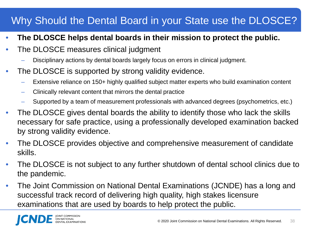#### Why Should the Dental Board in your State use the DLOSCE?

- **The DLOSCE helps dental boards in their mission to protect the public.**
- The DLOSCE measures clinical judgment
	- Disciplinary actions by dental boards largely focus on errors in clinical judgment.
- The DLOSCE is supported by strong validity evidence.
	- Extensive reliance on 150+ highly qualified subject matter experts who build examination content
	- Clinically relevant content that mirrors the dental practice
	- Supported by a team of measurement professionals with advanced degrees (psychometrics, etc.)
- The DLOSCE gives dental boards the ability to identify those who lack the skills necessary for safe practice, using a professionally developed examination backed by strong validity evidence.
- The DLOSCE provides objective and comprehensive measurement of candidate skills.
- The DLOSCE is not subject to any further shutdown of dental school clinics due to the pandemic.
- The Joint Commission on National Dental Examinations (JCNDE) has a long and successful track record of delivering high quality, high stakes licensure examinations that are used by boards to help protect the public.

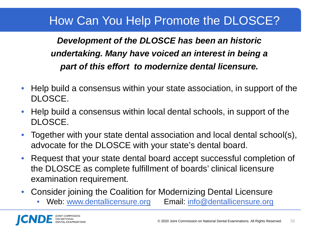#### How Can You Help Promote the DLOSCE?

#### *Development of the DLOSCE has been an historic undertaking. Many have voiced an interest in being a part of this effort to modernize dental licensure.*

- Help build a consensus within your state association, in support of the DLOSCE.
- Help build a consensus within local dental schools, in support of the DLOSCE.
- Together with your state dental association and local dental school(s), advocate for the DLOSCE with your state's dental board.
- Request that your state dental board accept successful completion of the DLOSCE as complete fulfillment of boards' clinical licensure examination requirement.
- Consider joining the Coalition for Modernizing Dental Licensure
	- Web: [www.dentallicensure.org](http://www.dentallicensure.org/) Email: [info@dentallicensure.org](mailto:info@dentallicensure.org)

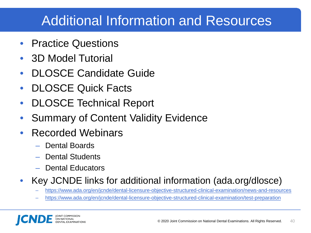### Additional Information and Resources

- Practice Questions
- 3D Model Tutorial
- DLOSCE Candidate Guide
- DLOSCE Quick Facts
- DLOSCE Technical Report
- **Summary of Content Validity Evidence**
- Recorded Webinars
	- Dental Boards
	- Dental Students
	- Dental Educators

#### • Key JCNDE links for additional information (ada.org/dlosce)

- <https://www.ada.org/en/jcnde/dental-licensure-objective-structured-clinical-examination/news-and-resources>
- <https://www.ada.org/en/jcnde/dental-licensure-objective-structured-clinical-examination/test-preparation>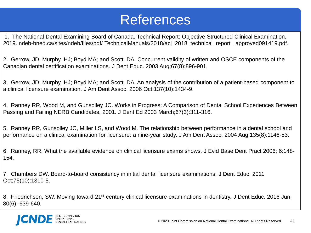#### References

1. The National Dental Examining Board of Canada. Technical Report: Objective Structured Clinical Examination. 2019. ndeb-bned.ca/sites/ndeb/files/pdf/ TechnicalManuals/2018/acj\_2018\_technical\_report\_ approved091419.pdf.

2. Gerrow, JD; Murphy, HJ; Boyd MA; and Scott, DA. Concurrent validity of written and OSCE components of the Canadian dental certification examinations. J Dent Educ. 2003 Aug;67(8):896-901.

3. Gerrow, JD; Murphy, HJ; Boyd MA; and Scott, DA. An analysis of the contribution of a patient-based component to a clinical licensure examination. J Am Dent Assoc. 2006 Oct;137(10):1434-9.

4. Ranney RR, Wood M, and Gunsolley JC. Works in Progress: A Comparison of Dental School Experiences Between Passing and Failing NERB Candidates, 2001. J Dent Ed 2003 March;67(3):311-316.

5. Ranney RR, Gunsolley JC, Miller LS, and Wood M. The relationship between performance in a dental school and performance on a clinical examination for licensure: a nine-year study. J Am Dent Assoc. 2004 Aug;135(8):1146-53.

6. Ranney, RR. What the available evidence on clinical licensure exams shows. J Evid Base Dent Pract 2006; 6:148- 154.

7. Chambers DW. Board-to-board consistency in initial dental licensure examinations. J Dent Educ. 2011 Oct;75(10):1310-5.

8. Friedrichsen, SW. Moving toward 21<sup>st-</sup>century clinical licensure examinations in dentistry. J Dent Educ. 2016 Jun; 80(6): 639-640.

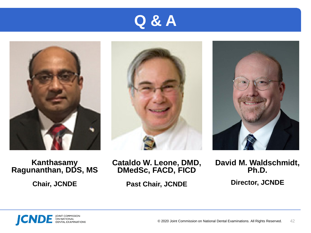







**Kanthasamy Ragunanthan, DDS, MS**

**Chair, JCNDE**

**Cataldo W. Leone, DMD, DMedSc, FACD, FICD**

**Past Chair, JCNDE**

**David M. Waldschmidt, Ph.D.**

**Director, JCNDE**